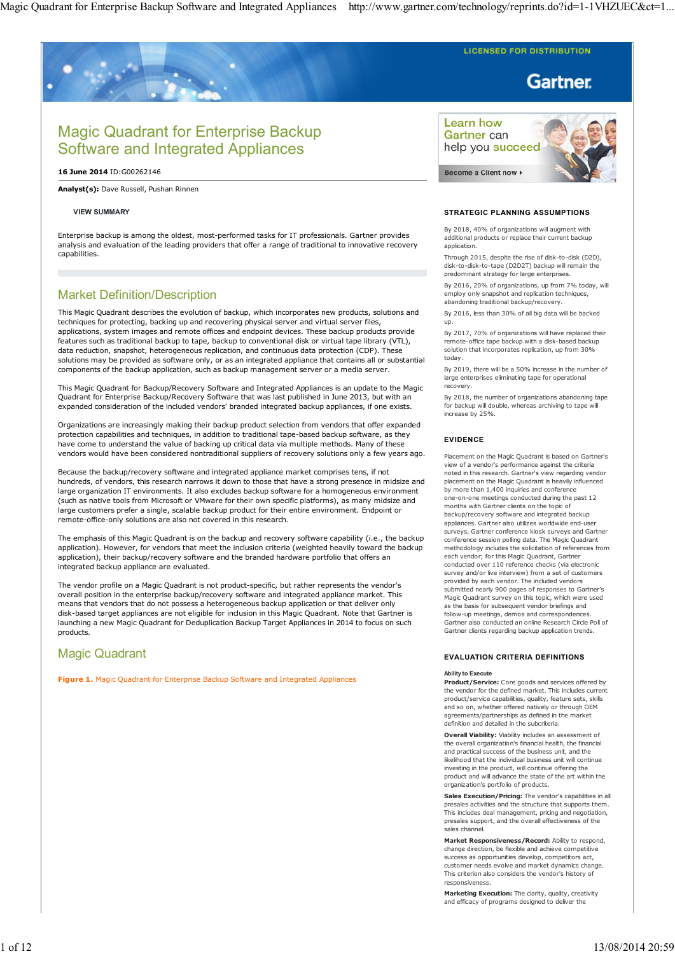**LICENSED FOR DISTRIBUTION** 

# **Gartner**

# Magic Quadrant for Enterprise Backup Software and Integrated Appliances

**16 June 2014** ID:G00262146

**Analyst(s):** Dave Russell, Pushan Rinnen

## **VIEW SUMMARY**

Enterprise backup is among the oldest, most-performed tasks for IT professionals. Gartner provides analysis and evaluation of the leading providers that offer a range of traditional to innovative recovery capabilities.

# Market Definition/Description

This Magic Quadrant describes the evolution of backup, which incorporates new products, solutions and techniques for protecting, backing up and recovering physical server and virtual server files, applications, system images and remote offices and endpoint devices. These backup products provide features such as traditional backup to tape, backup to conventional disk or virtual tape library (VTL), data reduction, snapshot, heterogeneous replication, and continuous data protection (CDP). These solutions may be provided as software only, or as an integrated appliance that contains all or substantial components of the backup application, such as backup management server or a media server.

This Magic Quadrant for Backup/Recovery Software and Integrated Appliances is an update to the Magic Quadrant for Enterprise Backup/Recovery Software that was last published in June 2013, but with an expanded consideration of the included vendors' branded integrated backup appliances, if one exists.

Organizations are increasingly making their backup product selection from vendors that offer expanded protection capabilities and techniques, in addition to traditional tape-based backup software, as they have come to understand the value of backing up critical data via multiple methods. Many of these vendors would have been considered nontraditional suppliers of recovery solutions only a few years ago.

Because the backup/recovery software and integrated appliance market comprises tens, if not hundreds, of vendors, this research narrows it down to those that have a strong presence in midsize and large organization IT environments. It also excludes backup software for a homogeneous environment (such as native tools from Microsoft or VMware for their own specific platforms), as many midsize and large customers prefer a single, scalable backup product for their entire environment. Endpoint or remote-office-only solutions are also not covered in this research.

The emphasis of this Magic Quadrant is on the backup and recovery software capability (i.e., the backup application). However, for vendors that meet the inclusion criteria (weighted heavily toward the backup application), their backup/recovery software and the branded hardware portfolio that offers an integrated backup appliance are evaluated.

The vendor profile on a Magic Quadrant is not product-specific, but rather represents the vendor's overall position in the enterprise backup/recovery software and integrated appliance market. This means that vendors that do not possess a heterogeneous backup application or that deliver only disk-based target appliances are not eligible for inclusion in this Magic Quadrant. Note that Gartner is launching a new Magic Quadrant for Deduplication Backup Target Appliances in 2014 to focus on such products.

# Magic Quadrant

**Figure 1.** Magic Quadrant for Enterprise Backup Software and Integrated Appliances

Learn how Gartner can help you succeed

Become a Client now  $\triangleright$ 



## **STRATEGIC PLANNING ASSUMPTIONS**

By 2018, 40% of organizations will augment with additional products or replace their current backup application.

Through 2015, despite the rise of disk-to-disk (D2D), disk-to-disk-to-tape (D2D2T) backup will remain the predominant strategy for large enterprises.

By 2016, 20% of organizations, up from 7% today, will employ only snapshot and replication techniques, abandoning traditional backup/recovery.

By 2016, less than 30% of all big data will be backed up.

By 2017, 70% of organizations will have replaced their remote-office tape backup with a disk-based backup solution that incorporates replication, up from 30% today.

By 2019, there will be a 50% increase in the number of large enterprises eliminating tape for operational recovery.

By 2018, the number of organizations abandoning tape for backup will double, whereas archiving to tape will increase by 25%.

## **EVIDENCE**

Placement on the Magic Quadrant is based on Gartner's view of a vendor's performance against the criteria noted in this research. Gartner's view regarding vendor placement on the Magic Quadrant is heavily influenced by more than 1,400 inquiries and conference one-on-one meetings conducted during the past 12 months with Gartner clients on the topic of backup/recovery software and integrated backup appliances. Gartner also utilizes worldwide end-user surveys, Gartner conference kiosk surveys and Gartner conference session polling data. The Magic Quadrant methodology includes the solicitation of references from each vendor; for this Magic Quadrant, Gartner conducted over 110 reference checks (via electronic survey and/or live interview) from a set of customers provided by each vendor. The included vendors submitted nearly 900 pages of responses to Gartner's Magic Quadrant survey on this topic, which were used as the basis for subsequent vendor briefings and follow-up meetings, demos and correspondences. Gartner also conducted an online Research Circle Poll of Gartner clients regarding backup application trends.

## **EVALUATION CRITERIA DEFINITIONS**

## **Ability to Execute**

**Product/Service:** Core goods and services offered by the vendor for the defined market. This includes current product/service capabilities, quality, feature sets, skills and so on, whether offered natively or through OEM agreements/partnerships as defined in the market definition and detailed in the subcriteria.

**Overall Viability:** Viability includes an assessment of the overall organization's financial health, the financial and practical success of the business unit, and the likelihood that the individual business unit will continue investing in the product, will continue offering the product and will advance the state of the art within the organization's portfolio of products.

**Sales Execution/Pricing:** The vendor's capabilities in all presales activities and the structure that supports them. This includes deal management, pricing and negotiation, presales support, and the overall effectiveness of the sales channel.

**Market Responsiveness/Record:** Ability to respond, change direction, be flexible and achieve competitive success as opportunities develop, competitors act, customer needs evolve and market dynamics change. This criterion also considers the vendor's history of responsiveness.

**Marketing Execution:** The clarity, quality, creativity and efficacy of programs designed to deliver the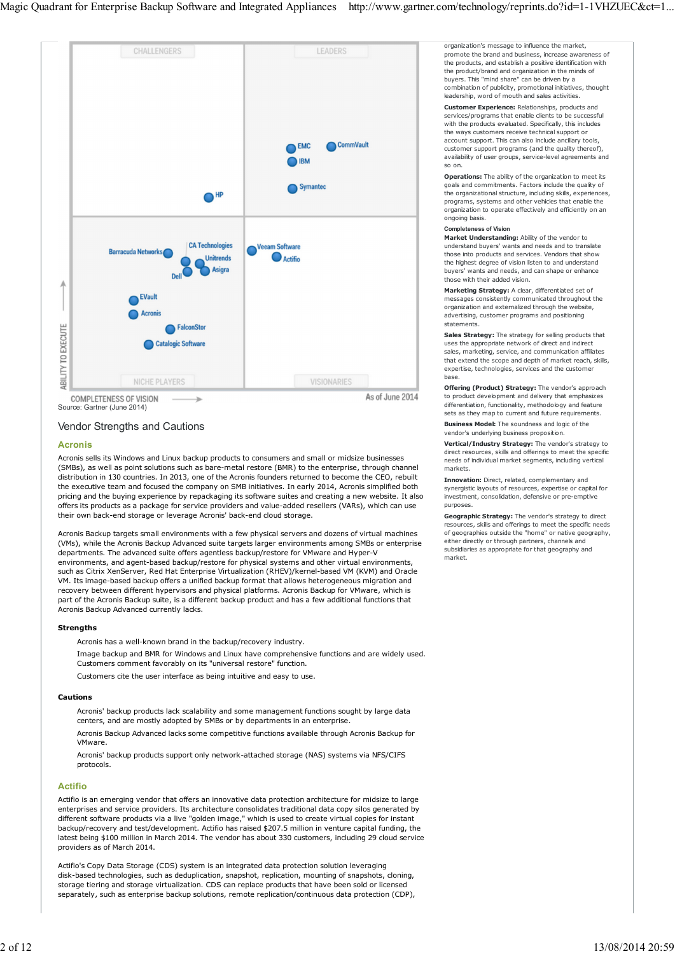

Source: Gartner (June 2014)

# Vendor Strengths and Cautions

## **Acronis**

Acronis sells its Windows and Linux backup products to consumers and small or midsize businesses (SMBs), as well as point solutions such as bare-metal restore (BMR) to the enterprise, through channel distribution in 130 countries. In 2013, one of the Acronis founders returned to become the CEO, rebuilt the executive team and focused the company on SMB initiatives. In early 2014, Acronis simplified both pricing and the buying experience by repackaging its software suites and creating a new website. It also offers its products as a package for service providers and value-added resellers (VARs), which can use their own back-end storage or leverage Acronis' back-end cloud storage.

Acronis Backup targets small environments with a few physical servers and dozens of virtual machines (VMs), while the Acronis Backup Advanced suite targets larger environments among SMBs or enterprise departments. The advanced suite offers agentless backup/restore for VMware and Hyper-V environments, and agent-based backup/restore for physical systems and other virtual environments, such as Citrix XenServer, Red Hat Enterprise Virtualization (RHEV)/kernel-based VM (KVM) and Oracle VM. Its image-based backup offers a unified backup format that allows heterogeneous migration and recovery between different hypervisors and physical platforms. Acronis Backup for VMware, which is part of the Acronis Backup suite, is a different backup product and has a few additional functions that Acronis Backup Advanced currently lacks.

## **Strengths**

Acronis has a well-known brand in the backup/recovery industry.

Image backup and BMR for Windows and Linux have comprehensive functions and are widely used. Customers comment favorably on its "universal restore" function.

Customers cite the user interface as being intuitive and easy to use.

## **Cautions**

Acronis' backup products lack scalability and some management functions sought by large data centers, and are mostly adopted by SMBs or by departments in an enterprise.

Acronis Backup Advanced lacks some competitive functions available through Acronis Backup for VMware.

Acronis' backup products support only network-attached storage (NAS) systems via NFS/CIFS protocols.

## **Actifio**

Actifio is an emerging vendor that offers an innovative data protection architecture for midsize to large enterprises and service providers. Its architecture consolidates traditional data copy silos generated by different software products via a live "golden image," which is used to create virtual copies for instant backup/recovery and test/development. Actifio has raised \$207.5 million in venture capital funding, the latest being \$100 million in March 2014. The vendor has about 330 customers, including 29 cloud service providers as of March 2014.

Actifio's Copy Data Storage (CDS) system is an integrated data protection solution leveraging disk-based technologies, such as deduplication, snapshot, replication, mounting of snapshots, cloning, storage tiering and storage virtualization. CDS can replace products that have been sold or licensed separately, such as enterprise backup solutions, remote replication/continuous data protection (CDP), organization's message to influence the market, promote the brand and business, increase awareness of the products, and establish a positive identification with the product/brand and organization in the minds of buyers. This "mind share" can be driven by a combination of publicity, promotional initiatives, thought leadership, word of mouth and sales activities.

**Customer Experience:** Relationships, products and services/programs that enable clients to be successful with the products evaluated. Specifically, this includes the ways customers receive technical support or account support. This can also include ancillary tools, customer support programs (and the quality thereof), availability of user groups, service-level agreements and so on.

**Operations:** The ability of the organization to meet its goals and commitments. Factors include the quality of the organizational structure, including skills, experiences, programs, systems and other vehicles that enable the organization to operate effectively and efficiently on an ongoing basis.

#### **Completeness of Vision**

**Market Understanding:** Ability of the vendor to understand buyers' wants and needs and to translate those into products and services. Vendors that show the highest degree of vision listen to and understand buyers' wants and needs, and can shape or enhance those with their added vision.

**Marketing Strategy:** A clear, differentiated set of messages consistently communicated throughout the organization and externalized through the website, advertising, customer programs and positioning statements.

**Sales Strategy:** The strategy for selling products that uses the appropriate network of direct and indirect sales, marketing, service, and communication affiliates that extend the scope and depth of market reach, skills, expertise, technologies, services and the customer base.

**Offering (Product) Strategy:** The vendor's approach to product development and delivery that emphasizes differentiation, functionality, methodology and feature sets as they map to current and future requirements.

**Business Model:** The soundness and logic of the vendor's underlying business proposition.

**Vertical/Industry Strategy:** The vendor's strategy to direct resources, skills and offerings to meet the specific needs of individual market segments, including vertical markets.

**Innovation:** Direct, related, complementary and synergistic layouts of resources, expertise or capital for investment, consolidation, defensive or pre-emptive purposes.

**Geographic Strategy:** The vendor's strategy to direct resources, skills and offerings to meet the specific needs of geographies outside the "home" or native geography, either directly or through partners, channels and subsidiaries as appropriate for that geography and market.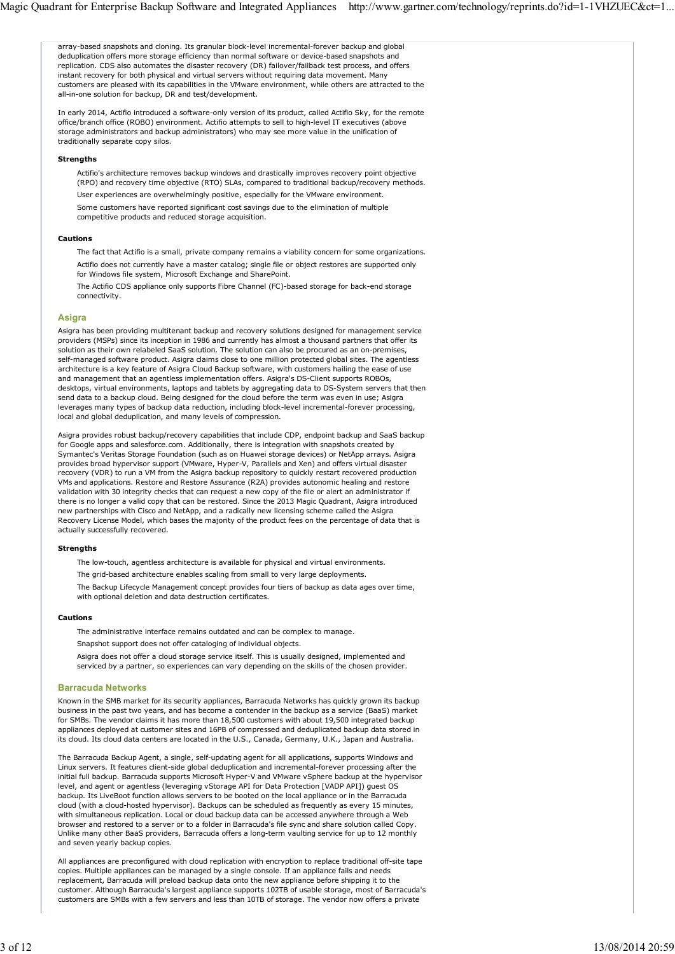array-based snapshots and cloning. Its granular block-level incremental-forever backup and global deduplication offers more storage efficiency than normal software or device-based snapshots and replication. CDS also automates the disaster recovery (DR) failover/failback test process, and offers instant recovery for both physical and virtual servers without requiring data movement. Many customers are pleased with its capabilities in the VMware environment, while others are attracted to the all-in-one solution for backup, DR and test/development. In early 2014, Actifio introduced a software-only version of its product, called Actifio Sky, for the remote office/branch office (ROBO) environment. Actifio attempts to sell to high-level IT executives (above storage administrators and backup administrators) who may see more value in the unification of traditionally separate copy silos. **Strengths** Actifio's architecture removes backup windows and drastically improves recovery point objective (RPO) and recovery time objective (RTO) SLAs, compared to traditional backup/recovery methods. User experiences are overwhelmingly positive, especially for the VMware environment. Some customers have reported significant cost savings due to the elimination of multiple competitive products and reduced storage acquisition. **Cautions** The fact that Actifio is a small, private company remains a viability concern for some organizations. Actifio does not currently have a master catalog; single file or object restores are supported only for Windows file system, Microsoft Exchange and SharePoint. The Actifio CDS appliance only supports Fibre Channel (FC)-based storage for back-end storage connectivity. **Asigra** Asigra has been providing multitenant backup and recovery solutions designed for management service providers (MSPs) since its inception in 1986 and currently has almost a thousand partners that offer its solution as their own relabeled SaaS solution. The solution can also be procured as an on-premises, self-managed software product. Asigra claims close to one million protected global sites. The agentless architecture is a key feature of Asigra Cloud Backup software, with customers hailing the ease of use and management that an agentless implementation offers. Asigra's DS-Client supports ROBOs, desktops, virtual environments, laptops and tablets by aggregating data to DS-System servers that then send data to a backup cloud. Being designed for the cloud before the term was even in use; Asigra leverages many types of backup data reduction, including block-level incremental-forever processing, local and global deduplication, and many levels of compression. Asigra provides robust backup/recovery capabilities that include CDP, endpoint backup and SaaS backup for Google apps and salesforce.com. Additionally, there is integration with snapshots created by Symantec's Veritas Storage Foundation (such as on Huawei storage devices) or NetApp arrays. Asigra provides broad hypervisor support (VMware, Hyper-V, Parallels and Xen) and offers virtual disaster recovery (VDR) to run a VM from the Asigra backup repository to quickly restart recovered production VMs and applications. Restore and Restore Assurance (R2A) provides autonomic healing and restore validation with 30 integrity checks that can request a new copy of the file or alert an administrator if there is no longer a valid copy that can be restored. Since the 2013 Magic Quadrant, Asigra introduced new partnerships with Cisco and NetApp, and a radically new licensing scheme called the Asigra Recovery License Model, which bases the majority of the product fees on the percentage of data that is actually successfully recovered. **Strengths** The low-touch, agentless architecture is available for physical and virtual environments. The grid-based architecture enables scaling from small to very large deployments. The Backup Lifecycle Management concept provides four tiers of backup as data ages over time, with optional deletion and data destruction certificates. **Cautions** The administrative interface remains outdated and can be complex to manage. Snapshot support does not offer cataloging of individual objects. Asigra does not offer a cloud storage service itself. This is usually designed, implemented and serviced by a partner, so experiences can vary depending on the skills of the chosen provider. **Barracuda Networks** Known in the SMB market for its security appliances, Barracuda Networks has quickly grown its backup business in the past two years, and has become a contender in the backup as a service (BaaS) market for SMBs. The vendor claims it has more than 18,500 customers with about 19,500 integrated backup appliances deployed at customer sites and 16PB of compressed and deduplicated backup data stored in its cloud. Its cloud data centers are located in the U.S., Canada, Germany, U.K., Japan and Australia. The Barracuda Backup Agent, a single, self-updating agent for all applications, supports Windows and Linux servers. It features client-side global deduplication and incremental-forever processing after the initial full backup. Barracuda supports Microsoft Hyper-V and VMware vSphere backup at the hypervisor level, and agent or agentless (leveraging vStorage API for Data Protection [VADP API]) guest OS backup. Its LiveBoot function allows servers to be booted on the local appliance or in the Barracuda cloud (with a cloud-hosted hypervisor). Backups can be scheduled as frequently as every 15 minutes, with simultaneous replication. Local or cloud backup data can be accessed anywhere through a Web browser and restored to a server or to a folder in Barracuda's file sync and share solution called Copy. Unlike many other BaaS providers, Barracuda offers a long-term vaulting service for up to 12 monthly and seven yearly backup copies. All appliances are preconfigured with cloud replication with encryption to replace traditional off-site tape copies. Multiple appliances can be managed by a single console. If an appliance fails and needs replacement, Barracuda will preload backup data onto the new appliance before shipping it to the customer. Although Barracuda's largest appliance supports 102TB of usable storage, most of Barracuda's customers are SMBs with a few servers and less than 10TB of storage. The vendor now offers a private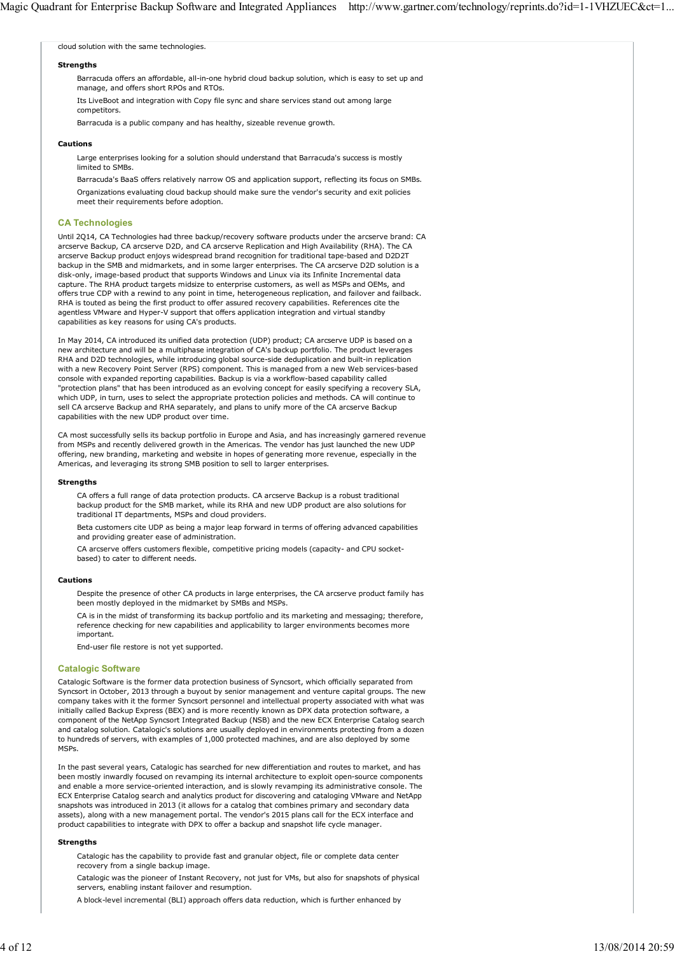cloud solution with the same technologies.

#### **Strengths**

Barracuda offers an affordable, all-in-one hybrid cloud backup solution, which is easy to set up and manage, and offers short RPOs and RTOs.

Its LiveBoot and integration with Copy file sync and share services stand out among large competitors.

Barracuda is a public company and has healthy, sizeable revenue growth.

### **Cautions**

Large enterprises looking for a solution should understand that Barracuda's success is mostly limited to SMBs.

Barracuda's BaaS offers relatively narrow OS and application support, reflecting its focus on SMBs. Organizations evaluating cloud backup should make sure the vendor's security and exit policies meet their requirements before adoption.

## **CA Technologies**

Until 2Q14, CA Technologies had three backup/recovery software products under the arcserve brand: CA arcserve Backup, CA arcserve D2D, and CA arcserve Replication and High Availability (RHA). The CA arcserve Backup product enjoys widespread brand recognition for traditional tape-based and D2D2T backup in the SMB and midmarkets, and in some larger enterprises. The CA arcserve D2D solution is a disk-only, image-based product that supports Windows and Linux via its Infinite Incremental data capture. The RHA product targets midsize to enterprise customers, as well as MSPs and OEMs, and offers true CDP with a rewind to any point in time, heterogeneous replication, and failover and failback. RHA is touted as being the first product to offer assured recovery capabilities. References cite the agentless VMware and Hyper-V support that offers application integration and virtual standby capabilities as key reasons for using CA's products.

In May 2014, CA introduced its unified data protection (UDP) product; CA arcserve UDP is based on a new architecture and will be a multiphase integration of CA's backup portfolio. The product leverages RHA and D2D technologies, while introducing global source-side deduplication and built-in replication with a new Recovery Point Server (RPS) component. This is managed from a new Web services-based console with expanded reporting capabilities. Backup is via a workflow-based capability called "protection plans" that has been introduced as an evolving concept for easily specifying a recovery SLA, which UDP, in turn, uses to select the appropriate protection policies and methods. CA will continue to sell CA arcserve Backup and RHA separately, and plans to unify more of the CA arcserve Backup capabilities with the new UDP product over time.

CA most successfully sells its backup portfolio in Europe and Asia, and has increasingly garnered revenue from MSPs and recently delivered growth in the Americas. The vendor has just launched the new UDP offering, new branding, marketing and website in hopes of generating more revenue, especially in the Americas, and leveraging its strong SMB position to sell to larger enterprises.

#### **Strengths**

CA offers a full range of data protection products. CA arcserve Backup is a robust traditional backup product for the SMB market, while its RHA and new UDP product are also solutions for traditional IT departments, MSPs and cloud providers.

Beta customers cite UDP as being a major leap forward in terms of offering advanced capabilities and providing greater ease of administration.

CA arcserve offers customers flexible, competitive pricing models (capacity- and CPU socketbased) to cater to different needs.

#### **Cautions**

Despite the presence of other CA products in large enterprises, the CA arcserve product family has been mostly deployed in the midmarket by SMBs and MSPs.

CA is in the midst of transforming its backup portfolio and its marketing and messaging; therefore, reference checking for new capabilities and applicability to larger environments becomes more important.

End-user file restore is not yet supported.

#### **Catalogic Software**

Catalogic Software is the former data protection business of Syncsort, which officially separated from Syncsort in October, 2013 through a buyout by senior management and venture capital groups. The new company takes with it the former Syncsort personnel and intellectual property associated with what was initially called Backup Express (BEX) and is more recently known as DPX data protection software, a component of the NetApp Syncsort Integrated Backup (NSB) and the new ECX Enterprise Catalog search and catalog solution. Catalogic's solutions are usually deployed in environments protecting from a dozen to hundreds of servers, with examples of 1,000 protected machines, and are also deployed by some MSPs.

In the past several years, Catalogic has searched for new differentiation and routes to market, and has been mostly inwardly focused on revamping its internal architecture to exploit open-source components and enable a more service-oriented interaction, and is slowly revamping its administrative console. The ECX Enterprise Catalog search and analytics product for discovering and cataloging VMware and NetApp snapshots was introduced in 2013 (it allows for a catalog that combines primary and secondary data assets), along with a new management portal. The vendor's 2015 plans call for the ECX interface and product capabilities to integrate with DPX to offer a backup and snapshot life cycle manager.

### **Strengths**

Catalogic has the capability to provide fast and granular object, file or complete data center recovery from a single backup image.

Catalogic was the pioneer of Instant Recovery, not just for VMs, but also for snapshots of physical servers, enabling instant failover and resumption.

A block-level incremental (BLI) approach offers data reduction, which is further enhanced by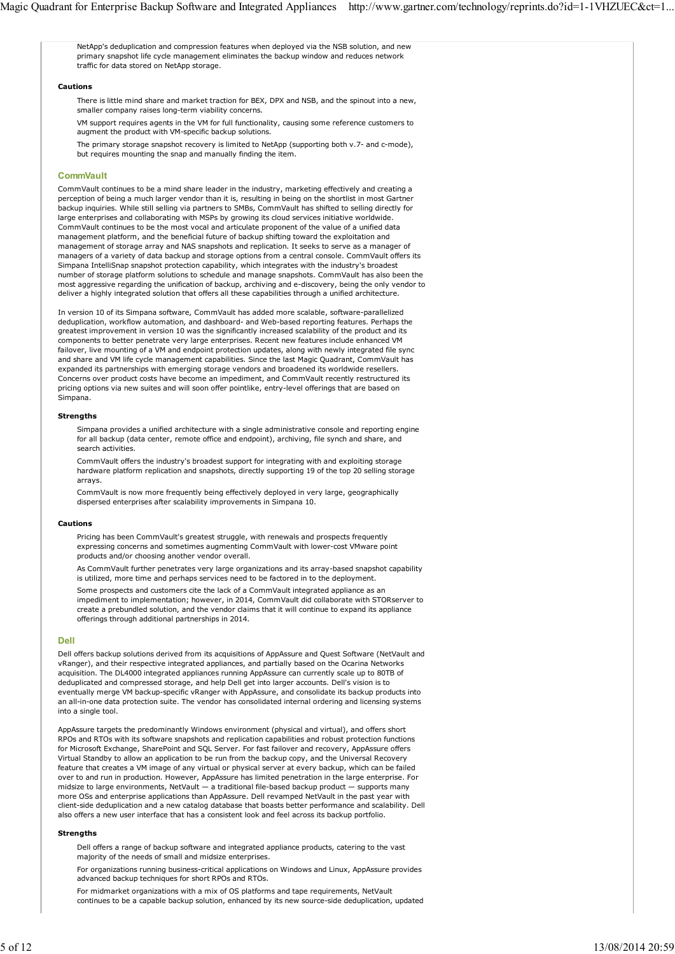NetApp's deduplication and compression features when deployed via the NSB solution, and new primary snapshot life cycle management eliminates the backup window and reduces network traffic for data stored on NetApp storage.

### **Cautions**

There is little mind share and market traction for BEX, DPX and NSB, and the spinout into a new, smaller company raises long-term viability concerns.

VM support requires agents in the VM for full functionality, causing some reference customers to augment the product with VM-specific backup solutions.

The primary storage snapshot recovery is limited to NetApp (supporting both v.7- and c-mode), but requires mounting the snap and manually finding the item.

#### **CommVault**

CommVault continues to be a mind share leader in the industry, marketing effectively and creating a perception of being a much larger vendor than it is, resulting in being on the shortlist in most Gartner backup inquiries. While still selling via partners to SMBs, CommVault has shifted to selling directly for large enterprises and collaborating with MSPs by growing its cloud services initiative worldwide. CommVault continues to be the most vocal and articulate proponent of the value of a unified data management platform, and the beneficial future of backup shifting toward the exploitation and management of storage array and NAS snapshots and replication. It seeks to serve as a manager of managers of a variety of data backup and storage options from a central console. CommVault offers its Simpana IntelliSnap snapshot protection capability, which integrates with the industry's broadest number of storage platform solutions to schedule and manage snapshots. CommVault has also been the most aggressive regarding the unification of backup, archiving and e-discovery, being the only vendor to deliver a highly integrated solution that offers all these capabilities through a unified architecture.

In version 10 of its Simpana software, CommVault has added more scalable, software-parallelized deduplication, workflow automation, and dashboard- and Web-based reporting features. Perhaps the greatest improvement in version 10 was the significantly increased scalability of the product and its components to better penetrate very large enterprises. Recent new features include enhanced VM failover, live mounting of a VM and endpoint protection updates, along with newly integrated file sync and share and VM life cycle management capabilities. Since the last Magic Quadrant, CommVault has expanded its partnerships with emerging storage vendors and broadened its worldwide resellers. Concerns over product costs have become an impediment, and CommVault recently restructured its pricing options via new suites and will soon offer pointlike, entry-level offerings that are based on Simpana.

#### **Strengths**

Simpana provides a unified architecture with a single administrative console and reporting engine for all backup (data center, remote office and endpoint), archiving, file synch and share, and search activities.

CommVault offers the industry's broadest support for integrating with and exploiting storage hardware platform replication and snapshots, directly supporting 19 of the top 20 selling storage arrays.

CommVault is now more frequently being effectively deployed in very large, geographically dispersed enterprises after scalability improvements in Simpana 10.

#### **Cautions**

Pricing has been CommVault's greatest struggle, with renewals and prospects frequently expressing concerns and sometimes augmenting CommVault with lower-cost VMware point products and/or choosing another vendor overall.

As CommVault further penetrates very large organizations and its array-based snapshot capability is utilized, more time and perhaps services need to be factored in to the deployment.

Some prospects and customers cite the lack of a CommVault integrated appliance as an impediment to implementation; however, in 2014, CommVault did collaborate with STORserver to create a prebundled solution, and the vendor claims that it will continue to expand its appliance offerings through additional partnerships in 2014.

#### **Dell**

Dell offers backup solutions derived from its acquisitions of AppAssure and Quest Software (NetVault and vRanger), and their respective integrated appliances, and partially based on the Ocarina Networks acquisition. The DL4000 integrated appliances running AppAssure can currently scale up to 80TB of deduplicated and compressed storage, and help Dell get into larger accounts. Dell's vision is to eventually merge VM backup-specific vRanger with AppAssure, and consolidate its backup products into an all-in-one data protection suite. The vendor has consolidated internal ordering and licensing systems into a single tool.

AppAssure targets the predominantly Windows environment (physical and virtual), and offers short RPOs and RTOs with its software snapshots and replication capabilities and robust protection functions for Microsoft Exchange, SharePoint and SQL Server. For fast failover and recovery, AppAssure offers Virtual Standby to allow an application to be run from the backup copy, and the Universal Recovery feature that creates a VM image of any virtual or physical server at every backup, which can be failed over to and run in production. However, AppAssure has limited penetration in the large enterprise. For midsize to large environments, NetVault — a traditional file-based backup product — supports many more OSs and enterprise applications than AppAssure. Dell revamped NetVault in the past year with client-side deduplication and a new catalog database that boasts better performance and scalability. Dell also offers a new user interface that has a consistent look and feel across its backup portfolio.

#### **Strengths**

Dell offers a range of backup software and integrated appliance products, catering to the vast majority of the needs of small and midsize enterprises.

For organizations running business-critical applications on Windows and Linux, AppAssure provides advanced backup techniques for short RPOs and RTOs.

For midmarket organizations with a mix of OS platforms and tape requirements, NetVault continues to be a capable backup solution, enhanced by its new source-side deduplication, updated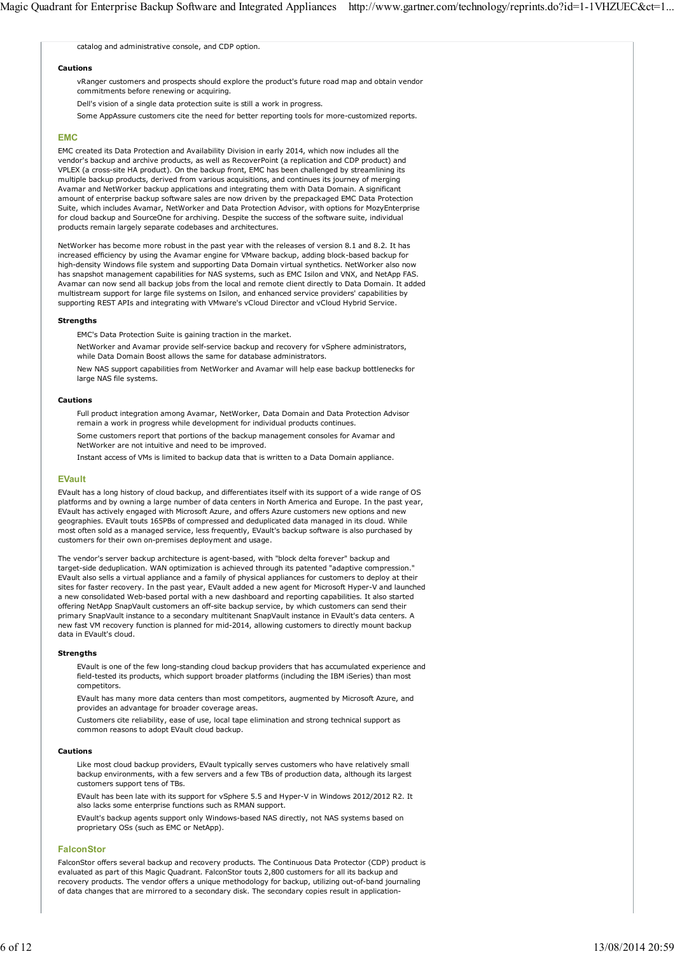catalog and administrative console, and CDP option.

#### **Cautions**

vRanger customers and prospects should explore the product's future road map and obtain vendor commitments before renewing or acquiring.

Dell's vision of a single data protection suite is still a work in progress.

Some AppAssure customers cite the need for better reporting tools for more-customized reports.

## **EMC**

EMC created its Data Protection and Availability Division in early 2014, which now includes all the vendor's backup and archive products, as well as RecoverPoint (a replication and CDP product) and VPLEX (a cross-site HA product). On the backup front, EMC has been challenged by streamlining its multiple backup products, derived from various acquisitions, and continues its journey of merging Avamar and NetWorker backup applications and integrating them with Data Domain. A significant amount of enterprise backup software sales are now driven by the prepackaged EMC Data Protection Suite, which includes Avamar, NetWorker and Data Protection Advisor, with options for MozyEnterprise for cloud backup and SourceOne for archiving. Despite the success of the software suite, individual products remain largely separate codebases and architectures.

NetWorker has become more robust in the past year with the releases of version 8.1 and 8.2. It has increased efficiency by using the Avamar engine for VMware backup, adding block-based backup for high-density Windows file system and supporting Data Domain virtual synthetics. NetWorker also now has snapshot management capabilities for NAS systems, such as EMC Isilon and VNX, and NetApp FAS. Avamar can now send all backup jobs from the local and remote client directly to Data Domain. It added multistream support for large file systems on Isilon, and enhanced service providers' capabilities by supporting REST APIs and integrating with VMware's vCloud Director and vCloud Hybrid Service.

### **Strengths**

EMC's Data Protection Suite is gaining traction in the market.

NetWorker and Avamar provide self-service backup and recovery for vSphere administrators, while Data Domain Boost allows the same for database administrators.

New NAS support capabilities from NetWorker and Avamar will help ease backup bottlenecks for large NAS file systems.

#### **Cautions**

Full product integration among Avamar, NetWorker, Data Domain and Data Protection Advisor remain a work in progress while development for individual products continues. Some customers report that portions of the backup management consoles for Avamar and

NetWorker are not intuitive and need to be improved.

Instant access of VMs is limited to backup data that is written to a Data Domain appliance.

## **EVault**

EVault has a long history of cloud backup, and differentiates itself with its support of a wide range of OS platforms and by owning a large number of data centers in North America and Europe. In the past year, EVault has actively engaged with Microsoft Azure, and offers Azure customers new options and new geographies. EVault touts 165PBs of compressed and deduplicated data managed in its cloud. While most often sold as a managed service, less frequently, EVault's backup software is also purchased by customers for their own on-premises deployment and usage.

The vendor's server backup architecture is agent-based, with "block delta forever" backup and target-side deduplication. WAN optimization is achieved through its patented "adaptive compression." EVault also sells a virtual appliance and a family of physical appliances for customers to deploy at their sites for faster recovery. In the past year, EVault added a new agent for Microsoft Hyper-V and launched a new consolidated Web-based portal with a new dashboard and reporting capabilities. It also started offering NetApp SnapVault customers an off-site backup service, by which customers can send their primary SnapVault instance to a secondary multitenant SnapVault instance in EVault's data centers. A new fast VM recovery function is planned for mid-2014, allowing customers to directly mount backup data in EVault's cloud.

#### **Strengths**

EVault is one of the few long-standing cloud backup providers that has accumulated experience and field-tested its products, which support broader platforms (including the IBM iSeries) than most competitors.

EVault has many more data centers than most competitors, augmented by Microsoft Azure, and provides an advantage for broader coverage areas.

Customers cite reliability, ease of use, local tape elimination and strong technical support as common reasons to adopt EVault cloud backup.

### **Cautions**

Like most cloud backup providers, EVault typically serves customers who have relatively small backup environments, with a few servers and a few TBs of production data, although its largest customers support tens of TBs.

EVault has been late with its support for vSphere 5.5 and Hyper-V in Windows 2012/2012 R2. It also lacks some enterprise functions such as RMAN support.

EVault's backup agents support only Windows-based NAS directly, not NAS systems based on proprietary OSs (such as EMC or NetApp).

## **FalconStor**

FalconStor offers several backup and recovery products. The Continuous Data Protector (CDP) product is evaluated as part of this Magic Quadrant. FalconStor touts 2,800 customers for all its backup and recovery products. The vendor offers a unique methodology for backup, utilizing out-of-band journaling of data changes that are mirrored to a secondary disk. The secondary copies result in application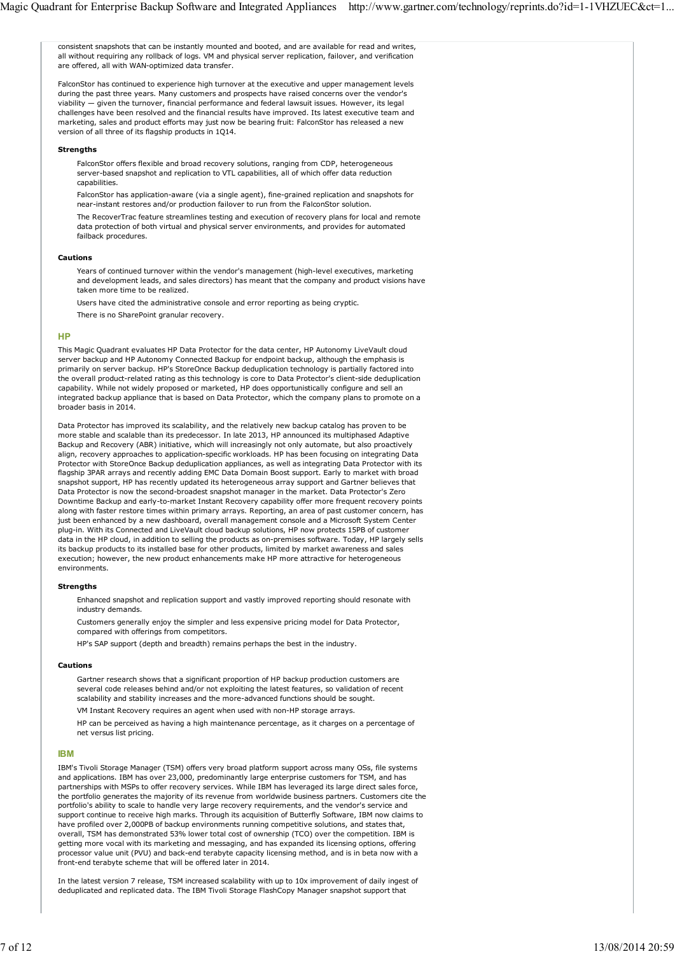consistent snapshots that can be instantly mounted and booted, and are available for read and writes, all without requiring any rollback of logs. VM and physical server replication, failover, and verification are offered, all with WAN-optimized data transfer.

FalconStor has continued to experience high turnover at the executive and upper management levels during the past three years. Many customers and prospects have raised concerns over the vendor's viability — given the turnover, financial performance and federal lawsuit issues. However, its legal challenges have been resolved and the financial results have improved. Its latest executive team and marketing, sales and product efforts may just now be bearing fruit: FalconStor has released a new version of all three of its flagship products in 1Q14.

#### **Strengths**

FalconStor offers flexible and broad recovery solutions, ranging from CDP, heterogeneous server-based snapshot and replication to VTL capabilities, all of which offer data reduction capabilities.

FalconStor has application-aware (via a single agent), fine-grained replication and snapshots for near-instant restores and/or production failover to run from the FalconStor solution.

The RecoverTrac feature streamlines testing and execution of recovery plans for local and remote data protection of both virtual and physical server environments, and provides for automated failback procedures.

#### **Cautions**

Years of continued turnover within the vendor's management (high-level executives, marketing and development leads, and sales directors) has meant that the company and product visions have taken more time to be realized.

Users have cited the administrative console and error reporting as being cryptic.

There is no SharePoint granular recovery.

## **HP**

This Magic Quadrant evaluates HP Data Protector for the data center, HP Autonomy LiveVault cloud server backup and HP Autonomy Connected Backup for endpoint backup, although the emphasis is primarily on server backup. HP's StoreOnce Backup deduplication technology is partially factored into the overall product-related rating as this technology is core to Data Protector's client-side deduplication capability. While not widely proposed or marketed, HP does opportunistically configure and sell an integrated backup appliance that is based on Data Protector, which the company plans to promote on a broader basis in 2014.

Data Protector has improved its scalability, and the relatively new backup catalog has proven to be more stable and scalable than its predecessor. In late 2013, HP announced its multiphased Adaptive Backup and Recovery (ABR) initiative, which will increasingly not only automate, but also proactively align, recovery approaches to application-specific workloads. HP has been focusing on integrating Data Protector with StoreOnce Backup deduplication appliances, as well as integrating Data Protector with its flagship 3PAR arrays and recently adding EMC Data Domain Boost support. Early to market with broad snapshot support, HP has recently updated its heterogeneous array support and Gartner believes that Data Protector is now the second-broadest snapshot manager in the market. Data Protector's Zero Downtime Backup and early-to-market Instant Recovery capability offer more frequent recovery points along with faster restore times within primary arrays. Reporting, an area of past customer concern, has just been enhanced by a new dashboard, overall management console and a Microsoft System Center plug-in. With its Connected and LiveVault cloud backup solutions, HP now protects 15PB of customer data in the HP cloud, in addition to selling the products as on-premises software. Today, HP largely sells its backup products to its installed base for other products, limited by market awareness and sales execution; however, the new product enhancements make HP more attractive for heterogeneous environments.

## **Strengths**

Enhanced snapshot and replication support and vastly improved reporting should resonate with industry demands.

Customers generally enjoy the simpler and less expensive pricing model for Data Protector, compared with offerings from competitors.

HP's SAP support (depth and breadth) remains perhaps the best in the industry.

#### **Cautions**

Gartner research shows that a significant proportion of HP backup production customers are several code releases behind and/or not exploiting the latest features, so validation of recent scalability and stability increases and the more-advanced functions should be sought.

VM Instant Recovery requires an agent when used with non-HP storage arrays.

HP can be perceived as having a high maintenance percentage, as it charges on a percentage of net versus list pricing.

## **IBM**

IBM's Tivoli Storage Manager (TSM) offers very broad platform support across many OSs, file systems and applications. IBM has over 23,000, predominantly large enterprise customers for TSM, and has partnerships with MSPs to offer recovery services. While IBM has leveraged its large direct sales force, the portfolio generates the majority of its revenue from worldwide business partners. Customers cite the portfolio's ability to scale to handle very large recovery requirements, and the vendor's service and support continue to receive high marks. Through its acquisition of Butterfly Software, IBM now claims to have profiled over 2,000PB of backup environments running competitive solutions, and states that, overall, TSM has demonstrated 53% lower total cost of ownership (TCO) over the competition. IBM is getting more vocal with its marketing and messaging, and has expanded its licensing options, offering processor value unit (PVU) and back-end terabyte capacity licensing method, and is in beta now with a front-end terabyte scheme that will be offered later in 2014.

In the latest version 7 release, TSM increased scalability with up to 10x improvement of daily ingest of deduplicated and replicated data. The IBM Tivoli Storage FlashCopy Manager snapshot support that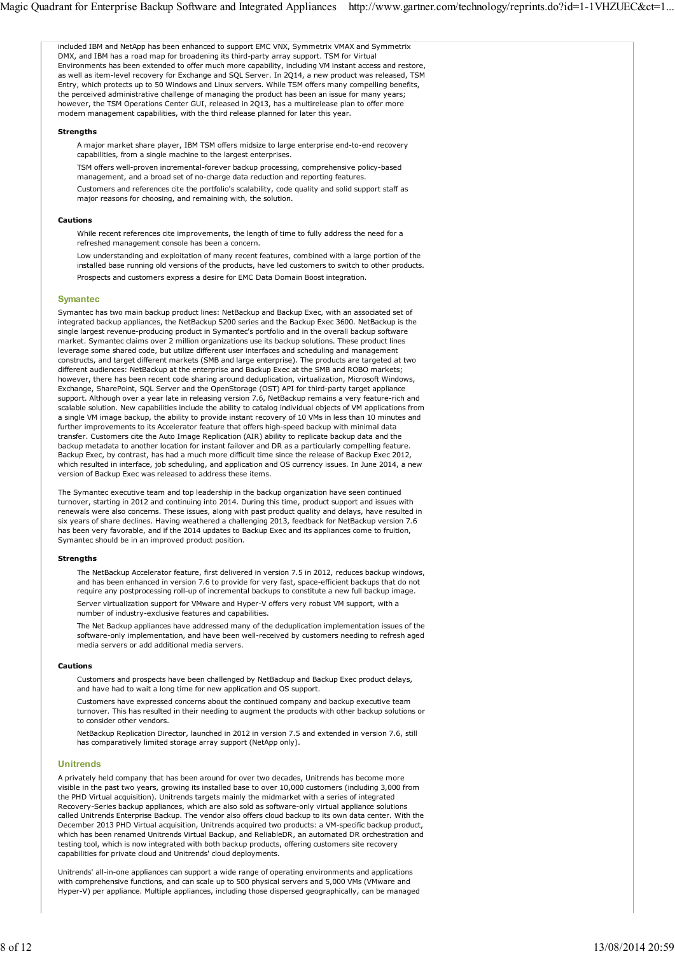included IBM and NetApp has been enhanced to support EMC VNX, Symmetrix VMAX and Symmetrix DMX, and IBM has a road map for broadening its third-party array support. TSM for Virtual Environments has been extended to offer much more capability, including VM instant access and restore, as well as item-level recovery for Exchange and SQL Server. In 2Q14, a new product was released, TSM Entry, which protects up to 50 Windows and Linux servers. While TSM offers many compelling benefits, the perceived administrative challenge of managing the product has been an issue for many years; however, the TSM Operations Center GUI, released in 2Q13, has a multirelease plan to offer more modern management capabilities, with the third release planned for later this year. **Strengths** A major market share player, IBM TSM offers midsize to large enterprise end-to-end recovery capabilities, from a single machine to the largest enterprises. TSM offers well-proven incremental-forever backup processing, comprehensive policy-based management, and a broad set of no-charge data reduction and reporting features. Customers and references cite the portfolio's scalability, code quality and solid support staff as major reasons for choosing, and remaining with, the solution. **Cautions** While recent references cite improvements, the length of time to fully address the need for a refreshed management console has been a concern. Low understanding and exploitation of many recent features, combined with a large portion of the installed base running old versions of the products, have led customers to switch to other products. Prospects and customers express a desire for EMC Data Domain Boost integration. **Symantec** Symantec has two main backup product lines: NetBackup and Backup Exec, with an associated set of integrated backup appliances, the NetBackup 5200 series and the Backup Exec 3600. NetBackup is the single largest revenue-producing product in Symantec's portfolio and in the overall backup software market. Symantec claims over 2 million organizations use its backup solutions. These product lines leverage some shared code, but utilize different user interfaces and scheduling and management constructs, and target different markets (SMB and large enterprise). The products are targeted at two different audiences: NetBackup at the enterprise and Backup Exec at the SMB and ROBO markets; however, there has been recent code sharing around deduplication, virtualization, Microsoft Windows, Exchange, SharePoint, SQL Server and the OpenStorage (OST) API for third-party target appliance support. Although over a year late in releasing version 7.6, NetBackup remains a very feature-rich and scalable solution. New capabilities include the ability to catalog individual objects of VM applications from a single VM image backup, the ability to provide instant recovery of 10 VMs in less than 10 minutes and further improvements to its Accelerator feature that offers high-speed backup with minimal data transfer. Customers cite the Auto Image Replication (AIR) ability to replicate backup data and the backup metadata to another location for instant failover and DR as a particularly compelling feature. Backup Exec, by contrast, has had a much more difficult time since the release of Backup Exec 2012, which resulted in interface, job scheduling, and application and OS currency issues. In June 2014, a new version of Backup Exec was released to address these items. The Symantec executive team and top leadership in the backup organization have seen continued turnover, starting in 2012 and continuing into 2014. During this time, product support and issues with renewals were also concerns. These issues, along with past product quality and delays, have resulted in six years of share declines. Having weathered a challenging 2013, feedback for NetBackup version 7.6 has been very favorable, and if the 2014 updates to Backup Exec and its appliances come to fruition, Symantec should be in an improved product position. **Strengths** The NetBackup Accelerator feature, first delivered in version 7.5 in 2012, reduces backup windows, and has been enhanced in version 7.6 to provide for very fast, space-efficient backups that do not require any postprocessing roll-up of incremental backups to constitute a new full backup image. Server virtualization support for VMware and Hyper-V offers very robust VM support, with a number of industry-exclusive features and capabilities. The Net Backup appliances have addressed many of the deduplication implementation issues of the software-only implementation, and have been well-received by customers needing to refresh aged media servers or add additional media servers. **Cautions** Customers and prospects have been challenged by NetBackup and Backup Exec product delays, and have had to wait a long time for new application and OS support. Customers have expressed concerns about the continued company and backup executive team turnover. This has resulted in their needing to augment the products with other backup solutions or to consider other vendors. NetBackup Replication Director, launched in 2012 in version 7.5 and extended in version 7.6, still has comparatively limited storage array support (NetApp only). **Unitrends** A privately held company that has been around for over two decades, Unitrends has become more visible in the past two years, growing its installed base to over 10,000 customers (including 3,000 from the PHD Virtual acquisition). Unitrends targets mainly the midmarket with a series of integrated Recovery-Series backup appliances, which are also sold as software-only virtual appliance solutions called Unitrends Enterprise Backup. The vendor also offers cloud backup to its own data center. With the December 2013 PHD Virtual acquisition, Unitrends acquired two products: a VM-specific backup product, which has been renamed Unitrends Virtual Backup, and ReliableDR, an automated DR orchestration and testing tool, which is now integrated with both backup products, offering customers site recovery capabilities for private cloud and Unitrends' cloud deployments. Unitrends' all-in-one appliances can support a wide range of operating environments and applications with comprehensive functions, and can scale up to 500 physical servers and 5,000 VMs (VMware and Hyper-V) per appliance. Multiple appliances, including those dispersed geographically, can be managed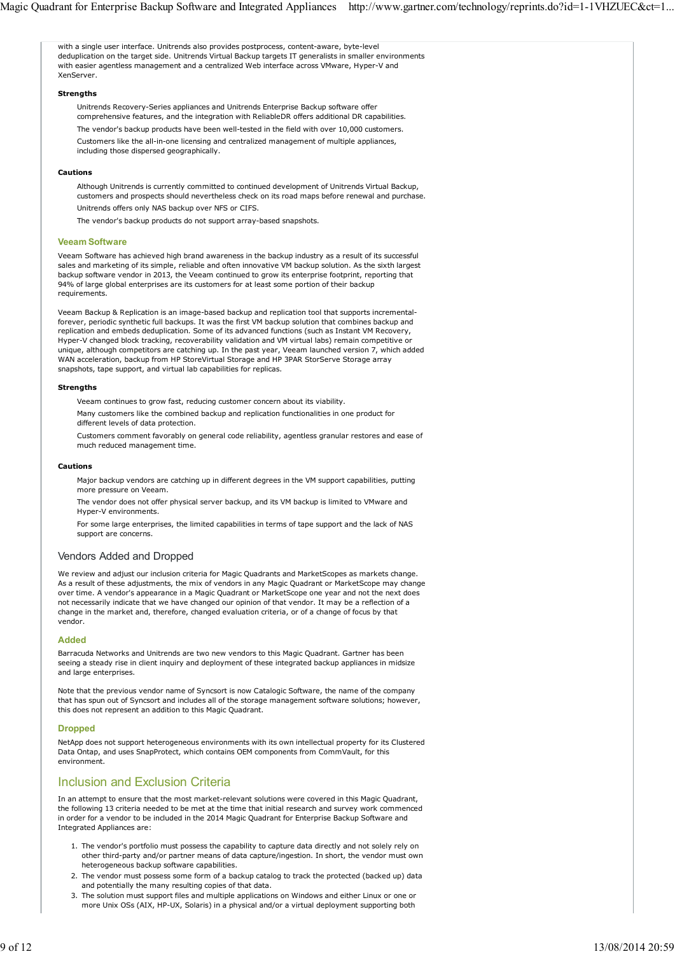with a single user interface. Unitrends also provides postprocess, content-aware, byte-level deduplication on the target side. Unitrends Virtual Backup targets IT generalists in smaller environments with easier agentless management and a centralized Web interface across VMware, Hyper-V and XenServer. **Strengths** Unitrends Recovery-Series appliances and Unitrends Enterprise Backup software offer comprehensive features, and the integration with ReliableDR offers additional DR capabilities. The vendor's backup products have been well-tested in the field with over 10,000 customers. Customers like the all-in-one licensing and centralized management of multiple appliances, including those dispersed geographically. **Cautions** Although Unitrends is currently committed to continued development of Unitrends Virtual Backup, customers and prospects should nevertheless check on its road maps before renewal and purchase. Unitrends offers only NAS backup over NFS or CIFS. The vendor's backup products do not support array-based snapshots. **Veeam Software** Veeam Software has achieved high brand awareness in the backup industry as a result of its successful sales and marketing of its simple, reliable and often innovative VM backup solution. As the sixth largest backup software vendor in 2013, the Veeam continued to grow its enterprise footprint, reporting that 94% of large global enterprises are its customers for at least some portion of their backup requirements. Veeam Backup & Replication is an image-based backup and replication tool that supports incrementalforever, periodic synthetic full backups. It was the first VM backup solution that combines backup and replication and embeds deduplication. Some of its advanced functions (such as Instant VM Recovery, Hyper-V changed block tracking, recoverability validation and VM virtual labs) remain competitive or unique, although competitors are catching up. In the past year, Veeam launched version 7, which added WAN acceleration, backup from HP StoreVirtual Storage and HP 3PAR StorServe Storage array snapshots, tape support, and virtual lab capabilities for replicas. **Strengths** Veeam continues to grow fast, reducing customer concern about its viability. Many customers like the combined backup and replication functionalities in one product for different levels of data protection. Customers comment favorably on general code reliability, agentless granular restores and ease of much reduced management time. **Cautions** Major backup vendors are catching up in different degrees in the VM support capabilities, putting more pressure on Veeam. The vendor does not offer physical server backup, and its VM backup is limited to VMware and Hyper-V environments. For some large enterprises, the limited capabilities in terms of tape support and the lack of NAS support are concerns. Vendors Added and Dropped We review and adjust our inclusion criteria for Magic Quadrants and MarketScopes as markets change. As a result of these adjustments, the mix of vendors in any Magic Quadrant or MarketScope may change over time. A vendor's appearance in a Magic Quadrant or MarketScope one year and not the next does not necessarily indicate that we have changed our opinion of that vendor. It may be a reflection of a change in the market and, therefore, changed evaluation criteria, or of a change of focus by that vendor. **Added** Barracuda Networks and Unitrends are two new vendors to this Magic Quadrant. Gartner has been seeing a steady rise in client inquiry and deployment of these integrated backup appliances in midsize and large enterprises. Note that the previous vendor name of Syncsort is now Catalogic Software, the name of the company that has spun out of Syncsort and includes all of the storage management software solutions; however, this does not represent an addition to this Magic Quadrant. **Dropped** NetApp does not support heterogeneous environments with its own intellectual property for its Clustered Data Ontap, and uses SnapProtect, which contains OEM components from CommVault, for this environment. Inclusion and Exclusion Criteria In an attempt to ensure that the most market-relevant solutions were covered in this Magic Quadrant, the following 13 criteria needed to be met at the time that initial research and survey work commenced in order for a vendor to be included in the 2014 Magic Quadrant for Enterprise Backup Software and Integrated Appliances are: 1. The vendor's portfolio must possess the capability to capture data directly and not solely rely on other third-party and/or partner means of data capture/ingestion. In short, the vendor must own heterogeneous backup software capabilities. 2. The vendor must possess some form of a backup catalog to track the protected (backed up) data and potentially the many resulting copies of that data. 3. The solution must support files and multiple applications on Windows and either Linux or one or more Unix OSs (AIX, HP-UX, Solaris) in a physical and/or a virtual deployment supporting both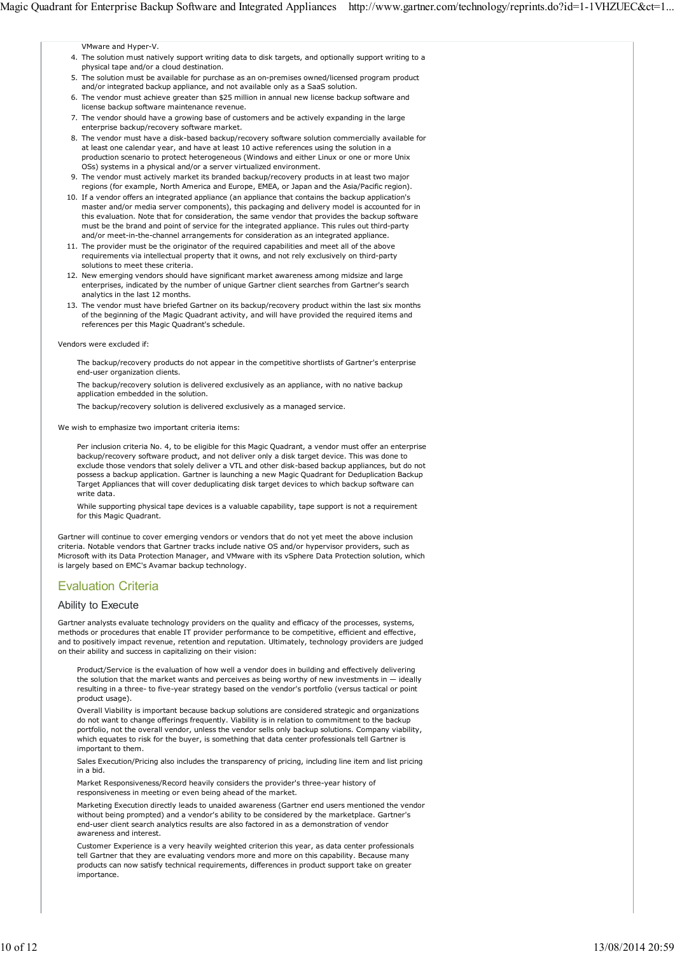VMware and Hyper-V.

- 4. The solution must natively support writing data to disk targets, and optionally support writing to a physical tape and/or a cloud destination.
- 5. The solution must be available for purchase as an on-premises owned/licensed program product and/or integrated backup appliance, and not available only as a SaaS solution.
- 6. The vendor must achieve greater than \$25 million in annual new license backup software and license backup software maintenance revenue.
- 7. The vendor should have a growing base of customers and be actively expanding in the large enterprise backup/recovery software market.
- 8. The vendor must have a disk-based backup/recovery software solution commercially available for at least one calendar year, and have at least 10 active references using the solution in a production scenario to protect heterogeneous (Windows and either Linux or one or more Unix OSs) systems in a physical and/or a server virtualized environment.
- 9. The vendor must actively market its branded backup/recovery products in at least two major regions (for example, North America and Europe, EMEA, or Japan and the Asia/Pacific region).
- If a vendor offers an integrated appliance (an appliance that contains the backup application's 10. master and/or media server components), this packaging and delivery model is accounted for in this evaluation. Note that for consideration, the same vendor that provides the backup software must be the brand and point of service for the integrated appliance. This rules out third-party and/or meet-in-the-channel arrangements for consideration as an integrated appliance.
- 11. The provider must be the originator of the required capabilities and meet all of the above requirements via intellectual property that it owns, and not rely exclusively on third-party solutions to meet these criteria.
- 12. New emerging vendors should have significant market awareness among midsize and large enterprises, indicated by the number of unique Gartner client searches from Gartner's search analytics in the last 12 months.
- 13. The vendor must have briefed Gartner on its backup/recovery product within the last six months of the beginning of the Magic Quadrant activity, and will have provided the required items and references per this Magic Quadrant's schedule.

#### Vendors were excluded if:

The backup/recovery products do not appear in the competitive shortlists of Gartner's enterprise end-user organization clients.

The backup/recovery solution is delivered exclusively as an appliance, with no native backup application embedded in the solution.

The backup/recovery solution is delivered exclusively as a managed service.

We wish to emphasize two important criteria items:

Per inclusion criteria No. 4, to be eligible for this Magic Quadrant, a vendor must offer an enterprise backup/recovery software product, and not deliver only a disk target device. This was done to exclude those vendors that solely deliver a VTL and other disk-based backup appliances, but do not possess a backup application. Gartner is launching a new Magic Quadrant for Deduplication Backup Target Appliances that will cover deduplicating disk target devices to which backup software can write data.

While supporting physical tape devices is a valuable capability, tape support is not a requirement for this Magic Quadrant.

Gartner will continue to cover emerging vendors or vendors that do not yet meet the above inclusion criteria. Notable vendors that Gartner tracks include native OS and/or hypervisor providers, such as Microsoft with its Data Protection Manager, and VMware with its vSphere Data Protection solution, which is largely based on EMC's Avamar backup technology.

# Evaluation Criteria

## Ability to Execute

Gartner analysts evaluate technology providers on the quality and efficacy of the processes, systems, methods or procedures that enable IT provider performance to be competitive, efficient and effective, and to positively impact revenue, retention and reputation. Ultimately, technology providers are judged on their ability and success in capitalizing on their vision:

Product/Service is the evaluation of how well a vendor does in building and effectively delivering the solution that the market wants and perceives as being worthy of new investments in  $-$  ideally resulting in a three- to five-year strategy based on the vendor's portfolio (versus tactical or point product usage).

Overall Viability is important because backup solutions are considered strategic and organizations do not want to change offerings frequently. Viability is in relation to commitment to the backup portfolio, not the overall vendor, unless the vendor sells only backup solutions. Company viability, which equates to risk for the buyer, is something that data center professionals tell Gartner is important to them.

Sales Execution/Pricing also includes the transparency of pricing, including line item and list pricing in a bid.

Market Responsiveness/Record heavily considers the provider's three-year history of responsiveness in meeting or even being ahead of the market.

Marketing Execution directly leads to unaided awareness (Gartner end users mentioned the vendor without being prompted) and a vendor's ability to be considered by the marketplace. Gartner's end-user client search analytics results are also factored in as a demonstration of vendor awareness and interest.

Customer Experience is a very heavily weighted criterion this year, as data center professionals tell Gartner that they are evaluating vendors more and more on this capability. Because many products can now satisfy technical requirements, differences in product support take on greater importance.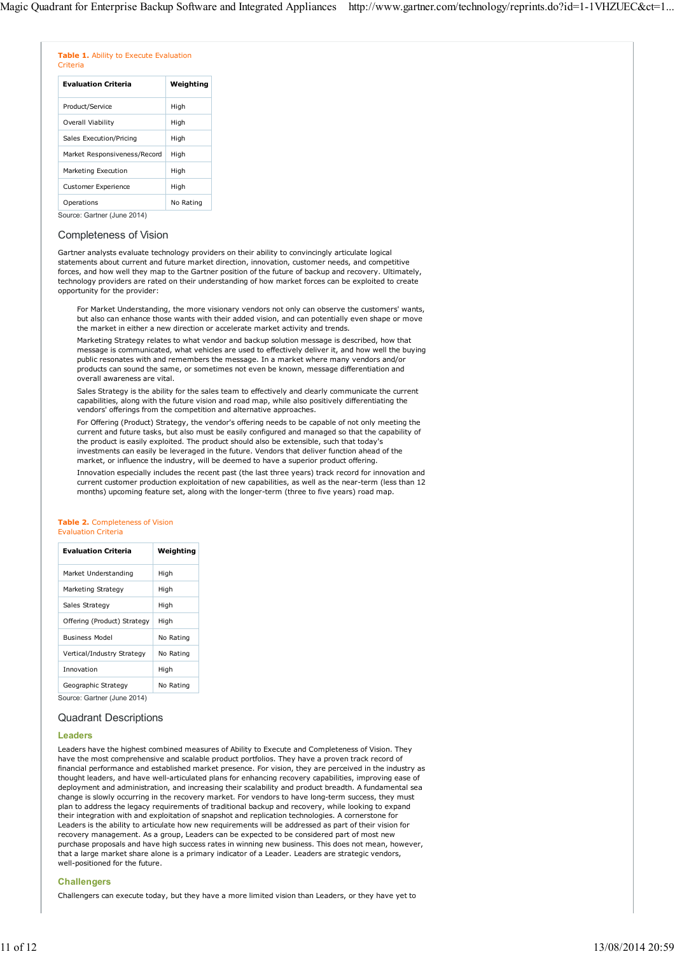|          | Table 1. Ability to Execute Evaluation |  |
|----------|----------------------------------------|--|
| Criteria |                                        |  |

| <b>Evaluation Criteria</b>   | Weighting |
|------------------------------|-----------|
| Product/Service              | High      |
| Overall Viability            | High      |
| Sales Execution/Pricing      | High      |
| Market Responsiveness/Record | High      |
| Marketing Execution          | High      |
| <b>Customer Experience</b>   | High      |
| Operations                   | No Rating |
| Source: Gartner (June 2014)  |           |

## Completeness of Vision

Gartner analysts evaluate technology providers on their ability to convincingly articulate logical statements about current and future market direction, innovation, customer needs, and competitive forces, and how well they map to the Gartner position of the future of backup and recovery. Ultimately, technology providers are rated on their understanding of how market forces can be exploited to create opportunity for the provider:

For Market Understanding, the more visionary vendors not only can observe the customers' wants, but also can enhance those wants with their added vision, and can potentially even shape or move the market in either a new direction or accelerate market activity and trends.

Marketing Strategy relates to what vendor and backup solution message is described, how that message is communicated, what vehicles are used to effectively deliver it, and how well the buying public resonates with and remembers the message. In a market where many vendors and/or products can sound the same, or sometimes not even be known, message differentiation and overall awareness are vital.

Sales Strategy is the ability for the sales team to effectively and clearly communicate the current capabilities, along with the future vision and road map, while also positively differentiating the vendors' offerings from the competition and alternative approaches.

For Offering (Product) Strategy, the vendor's offering needs to be capable of not only meeting the current and future tasks, but also must be easily configured and managed so that the capability of the product is easily exploited. The product should also be extensible, such that today's investments can easily be leveraged in the future. Vendors that deliver function ahead of the market, or influence the industry, will be deemed to have a superior product offering.

Innovation especially includes the recent past (the last three years) track record for innovation and current customer production exploitation of new capabilities, as well as the near-term (less than 12 months) upcoming feature set, along with the longer-term (three to five years) road map.

#### **Table 2.** Completeness of Vision Evaluation Criteria

| <b>Evaluation Criteria</b>  | Weighting |
|-----------------------------|-----------|
| Market Understanding        | High      |
| Marketing Strategy          | High      |
| Sales Strategy              | High      |
| Offering (Product) Strategy | High      |
| <b>Business Model</b>       | No Rating |
| Vertical/Industry Strategy  | No Rating |
| Innovation                  | High      |
| Geographic Strategy         | No Rating |

Source: Gartner (June 2014)

## Quadrant Descriptions

#### **Leaders**

Leaders have the highest combined measures of Ability to Execute and Completeness of Vision. They have the most comprehensive and scalable product portfolios. They have a proven track record of financial performance and established market presence. For vision, they are perceived in the industry as thought leaders, and have well-articulated plans for enhancing recovery capabilities, improving ease of deployment and administration, and increasing their scalability and product breadth. A fundamental sea change is slowly occurring in the recovery market. For vendors to have long-term success, they must plan to address the legacy requirements of traditional backup and recovery, while looking to expand their integration with and exploitation of snapshot and replication technologies. A cornerstone for Leaders is the ability to articulate how new requirements will be addressed as part of their vision for recovery management. As a group, Leaders can be expected to be considered part of most new purchase proposals and have high success rates in winning new business. This does not mean, however, that a large market share alone is a primary indicator of a Leader. Leaders are strategic vendors, well-positioned for the future.

## **Challengers**

Challengers can execute today, but they have a more limited vision than Leaders, or they have yet to